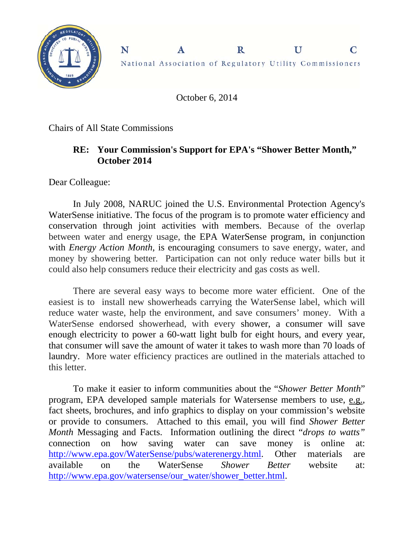

 $\mathbf R$ National Association of Regulatory Utility Commissioners

 $\mathbf{U}$ 

 $\mathbf C$ 

October 6, 2014

 $\mathbf{A}$ 

Chairs of All State Commissions

N

## **RE: Your Commission's Support for EPA's "Shower Better Month," October 2014**

Dear Colleague:

In July 2008, NARUC joined the U.S. Environmental Protection Agency's WaterSense initiative. The focus of the program is to promote water efficiency and conservation through joint activities with members. Because of the overlap between water and energy usage, the EPA WaterSense program, in conjunction with *Energy Action Month*, is encouraging consumers to save energy, water, and money by showering better*.* Participation can not only reduce water bills but it could also help consumers reduce their electricity and gas costs as well.

There are several easy ways to become more water efficient. One of the easiest is to install new showerheads carrying the WaterSense label, which will reduce water waste, help the environment, and save consumers' money. With a WaterSense endorsed showerhead, with every shower, a consumer will save enough electricity to power a 60-watt light bulb for eight hours, and every year, that consumer will save the amount of water it takes to wash more than 70 loads of laundry. More water efficiency practices are outlined in the materials attached to this letter.

To make it easier to inform communities about the "*Shower Better Month*" program, EPA developed sample materials for Watersense members to use, e.g., fact sheets, brochures, and info graphics to display on your commission's website or provide to consumers. Attached to this email, you will find *Shower Better Month* Messaging and Facts. Information outlining the direct "*drops to watts"* connection on how saving water can save money is online at: http://www.epa.gov/WaterSense/pubs/waterenergy.html. Other materials are available on the WaterSense *Shower Better* website at: http://www.epa.gov/watersense/our\_water/shower\_better.html.